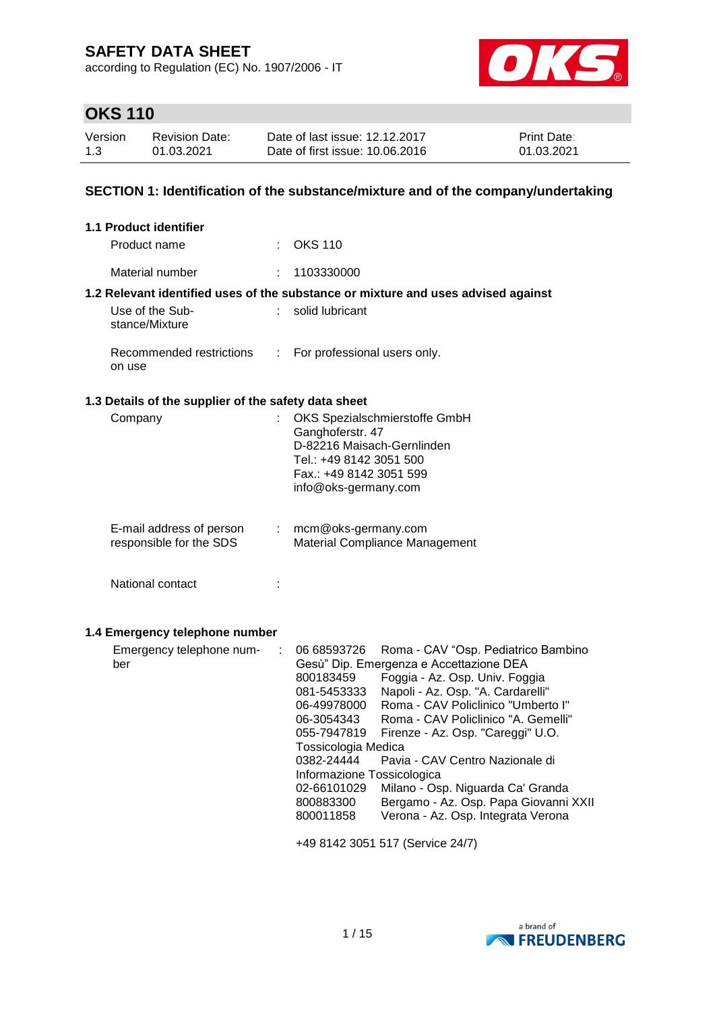according to Regulation (EC) No. 1907/2006 - IT



# **OKS 110**

| Version | Revision Date: | Date of last issue: 12.12.2017  | <b>Print Date:</b> |
|---------|----------------|---------------------------------|--------------------|
| 1.3     | 01.03.2021     | Date of first issue: 10.06.2016 | 01.03.2021         |

## **SECTION 1: Identification of the substance/mixture and of the company/undertaking**

| 1.1 Product identifier                               |                                                                                                                                                               |
|------------------------------------------------------|---------------------------------------------------------------------------------------------------------------------------------------------------------------|
| Product name                                         | $\therefore$ OKS 110                                                                                                                                          |
| Material number                                      | : 1103330000                                                                                                                                                  |
|                                                      | 1.2 Relevant identified uses of the substance or mixture and uses advised against                                                                             |
| Use of the Sub-<br>stance/Mixture                    | $\therefore$ solid lubricant                                                                                                                                  |
| Recommended restrictions<br>on use                   | : For professional users only.                                                                                                                                |
| 1.3 Details of the supplier of the safety data sheet |                                                                                                                                                               |
| Company                                              | OKS Spezialschmierstoffe GmbH<br>Ganghoferstr. 47<br>D-82216 Maisach-Gernlinden<br>Tel.: +49 8142 3051 500<br>Fax.: +49 8142 3051 599<br>info@oks-germany.com |

| E-mail address of person | mcm@oks-germany.com                   |
|--------------------------|---------------------------------------|
| responsible for the SDS  | <b>Material Compliance Management</b> |

National contact intervals and the set of the set of the set of the set of the set of the set of the set of the set of the set of the set of the set of the set of the set of the set of the set of the set of the set of the

#### **1.4 Emergency telephone number**

| Emergency telephone num- | : 06668593726              | Roma - CAV "Osp. Pediatrico Bambino     |
|--------------------------|----------------------------|-----------------------------------------|
| ber                      |                            | Gesù" Dip. Emergenza e Accettazione DEA |
|                          | 800183459                  | Foggia - Az. Osp. Univ. Foggia          |
|                          | 081-5453333                | Napoli - Az. Osp. "A. Cardarelli"       |
|                          | 06-49978000                | Roma - CAV Policlinico "Umberto I"      |
|                          | 06-3054343                 | Roma - CAV Policlinico "A. Gemelli"     |
|                          | 055-7947819                | Firenze - Az. Osp. "Careggi" U.O.       |
|                          | Tossicologia Medica        |                                         |
|                          | 0382-24444                 | Pavia - CAV Centro Nazionale di         |
|                          | Informazione Tossicologica |                                         |
|                          | 02-66101029                | Milano - Osp. Niguarda Ca' Granda       |
|                          | 800883300                  | Bergamo - Az. Osp. Papa Giovanni XXII   |
|                          | 800011858                  | Verona - Az. Osp. Integrata Verona      |
|                          |                            |                                         |

+49 8142 3051 517 (Service 24/7)

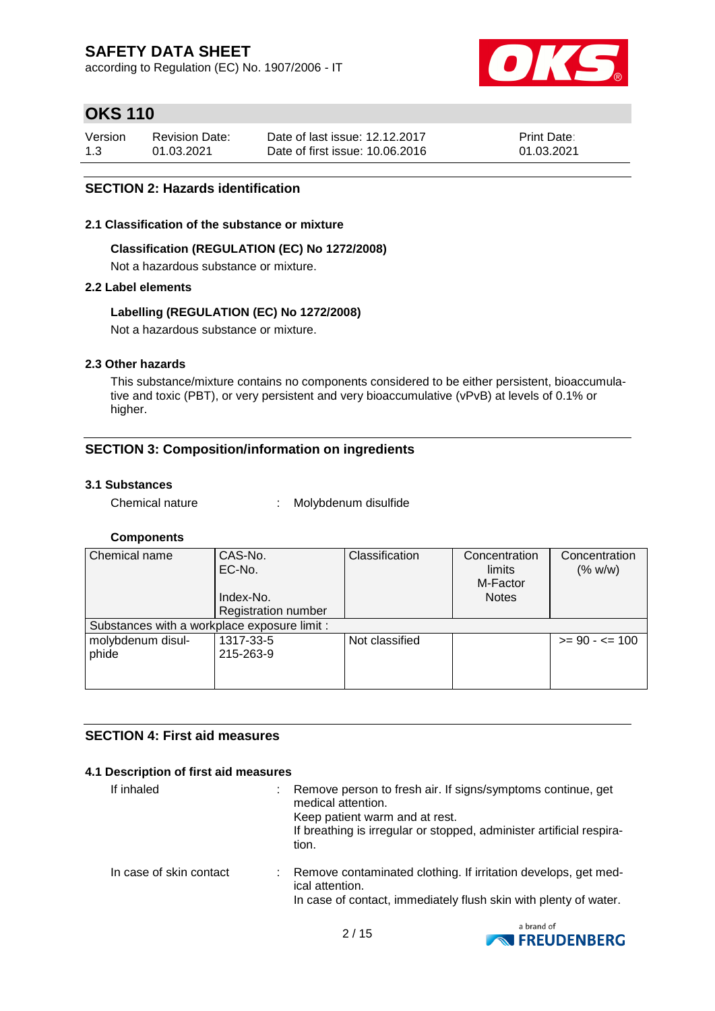according to Regulation (EC) No. 1907/2006 - IT



# **OKS 110**

| Version | <b>Revision Date:</b> | Date of last issue: 12.12.2017  | <b>Print Date:</b> |
|---------|-----------------------|---------------------------------|--------------------|
| 1.3     | 01.03.2021            | Date of first issue: 10.06.2016 | 01.03.2021         |

## **SECTION 2: Hazards identification**

#### **2.1 Classification of the substance or mixture**

#### **Classification (REGULATION (EC) No 1272/2008)**

Not a hazardous substance or mixture.

### **2.2 Label elements**

### **Labelling (REGULATION (EC) No 1272/2008)**

Not a hazardous substance or mixture.

### **2.3 Other hazards**

This substance/mixture contains no components considered to be either persistent, bioaccumulative and toxic (PBT), or very persistent and very bioaccumulative (vPvB) at levels of 0.1% or higher.

## **SECTION 3: Composition/information on ingredients**

#### **3.1 Substances**

Chemical nature : Molybdenum disulfide

### **Components**

| Chemical name                                | CAS-No.<br>EC-No.          | Classification | Concentration<br>limits<br>M-Factor | Concentration<br>(% w/w) |
|----------------------------------------------|----------------------------|----------------|-------------------------------------|--------------------------|
|                                              | Index-No.                  |                | <b>Notes</b>                        |                          |
|                                              | <b>Registration number</b> |                |                                     |                          |
| Substances with a workplace exposure limit : |                            |                |                                     |                          |
| molybdenum disul-                            | 1317-33-5                  | Not classified |                                     | $>= 90 - \le 100$        |
| phide                                        | 215-263-9                  |                |                                     |                          |
|                                              |                            |                |                                     |                          |
|                                              |                            |                |                                     |                          |

### **SECTION 4: First aid measures**

#### **4.1 Description of first aid measures**

| If inhaled              | Remove person to fresh air. If signs/symptoms continue, get<br>medical attention.<br>Keep patient warm and at rest.<br>If breathing is irregular or stopped, administer artificial respira-<br>tion. |
|-------------------------|------------------------------------------------------------------------------------------------------------------------------------------------------------------------------------------------------|
| In case of skin contact | : Remove contaminated clothing. If irritation develops, get med-<br>ical attention.<br>In case of contact, immediately flush skin with plenty of water.                                              |

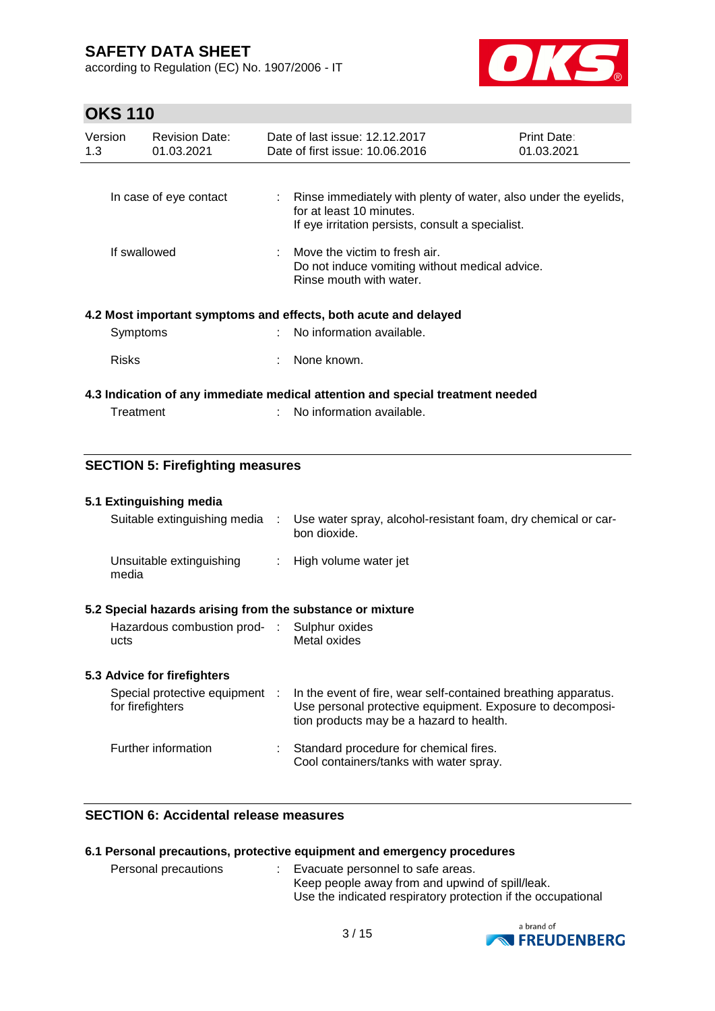according to Regulation (EC) No. 1907/2006 - IT



# **OKS 110**

| Version<br>1.3 | <b>Revision Date:</b><br>01.03.2021 | Date of last issue: 12.12.2017<br>Date of first issue: 10.06.2016                                                       | Print Date:<br>01.03.2021 |
|----------------|-------------------------------------|-------------------------------------------------------------------------------------------------------------------------|---------------------------|
|                | In case of eye contact              | Rinse immediately with plenty of water, also under the eyelids,                                                         |                           |
|                |                                     | for at least 10 minutes.<br>If eye irritation persists, consult a specialist.                                           |                           |
| If swallowed   |                                     | $\therefore$ Move the victim to fresh air.<br>Do not induce vomiting without medical advice.<br>Rinse mouth with water. |                           |
|                |                                     | 4.2 Most important symptoms and effects, both acute and delayed                                                         |                           |
| Symptoms       |                                     | : No information available.                                                                                             |                           |
| <b>Risks</b>   |                                     | None known.                                                                                                             |                           |
|                |                                     | 4.3 Indication of any immediate medical attention and special treatment needed                                          |                           |
| Treatment      |                                     | No information available.                                                                                               |                           |

## **SECTION 5: Firefighting measures**

### **5.1 Extinguishing media**

| Suitable extinguishing media :                            | Use water spray, alcohol-resistant foam, dry chemical or car-<br>bon dioxide. |
|-----------------------------------------------------------|-------------------------------------------------------------------------------|
| Unsuitable extinguishing<br>media                         | : High volume water jet                                                       |
| 5.2 Special hazards arising from the substance or mixture |                                                                               |
| Hazardous combustion prod- : Sulphur oxides               |                                                                               |

Metal oxides

## **5.3 Advice for firefighters**

ucts

| Special protective equipment<br>for firefighters | In the event of fire, wear self-contained breathing apparatus.<br>Use personal protective equipment. Exposure to decomposi-<br>tion products may be a hazard to health. |
|--------------------------------------------------|-------------------------------------------------------------------------------------------------------------------------------------------------------------------------|
| Further information                              | : Standard procedure for chemical fires.<br>Cool containers/tanks with water spray.                                                                                     |

## **SECTION 6: Accidental release measures**

| 6.1 Personal precautions, protective equipment and emergency procedures |  |
|-------------------------------------------------------------------------|--|
|-------------------------------------------------------------------------|--|

| Personal precautions | Evacuate personnel to safe areas.                            |
|----------------------|--------------------------------------------------------------|
|                      | Keep people away from and upwind of spill/leak.              |
|                      | Use the indicated respiratory protection if the occupational |

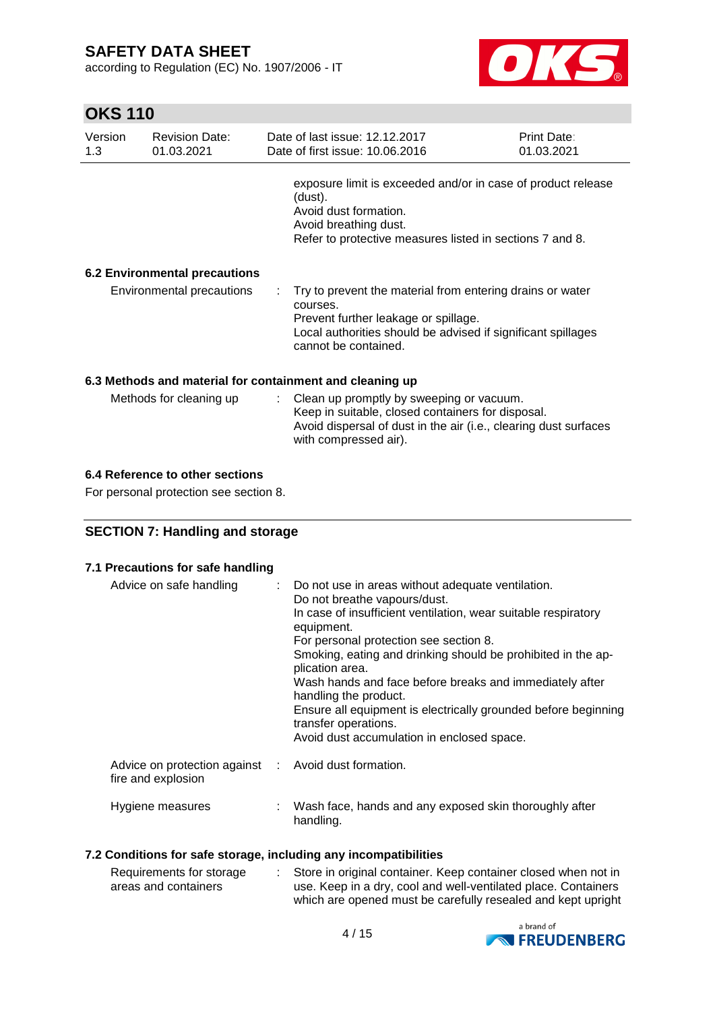according to Regulation (EC) No. 1907/2006 - IT



# **OKS 110**

| Version<br>1.3                                           | <b>Revision Date:</b><br>01.03.2021 |  | Date of last issue: 12.12.2017<br>Date of first issue: 10.06.2016                                                                                                                                     | Print Date:<br>01.03.2021 |  |  |  |
|----------------------------------------------------------|-------------------------------------|--|-------------------------------------------------------------------------------------------------------------------------------------------------------------------------------------------------------|---------------------------|--|--|--|
|                                                          |                                     |  | exposure limit is exceeded and/or in case of product release<br>(dust).<br>Avoid dust formation.<br>Avoid breathing dust.<br>Refer to protective measures listed in sections 7 and 8.                 |                           |  |  |  |
| <b>6.2 Environmental precautions</b>                     |                                     |  |                                                                                                                                                                                                       |                           |  |  |  |
|                                                          | Environmental precautions           |  | Try to prevent the material from entering drains or water<br>courses.<br>Prevent further leakage or spillage.<br>Local authorities should be advised if significant spillages<br>cannot be contained. |                           |  |  |  |
| 6.3 Methods and material for containment and cleaning up |                                     |  |                                                                                                                                                                                                       |                           |  |  |  |
|                                                          | Methods for cleaning up             |  | : Clean up promptly by sweeping or vacuum.<br>Keep in suitable, closed containers for disposal.<br>Avoid dispersal of dust in the air (i.e., clearing dust surfaces<br>with compressed air).          |                           |  |  |  |

## **6.4 Reference to other sections**

For personal protection see section 8.

## **SECTION 7: Handling and storage**

### **7.1 Precautions for safe handling**

| Advice on safe handling                                                    | : Do not use in areas without adequate ventilation.<br>Do not breathe vapours/dust.<br>In case of insufficient ventilation, wear suitable respiratory<br>equipment.<br>For personal protection see section 8.<br>Smoking, eating and drinking should be prohibited in the ap-<br>plication area.<br>Wash hands and face before breaks and immediately after<br>handling the product.<br>Ensure all equipment is electrically grounded before beginning<br>transfer operations.<br>Avoid dust accumulation in enclosed space. |
|----------------------------------------------------------------------------|------------------------------------------------------------------------------------------------------------------------------------------------------------------------------------------------------------------------------------------------------------------------------------------------------------------------------------------------------------------------------------------------------------------------------------------------------------------------------------------------------------------------------|
| Advice on protection against : Avoid dust formation.<br>fire and explosion |                                                                                                                                                                                                                                                                                                                                                                                                                                                                                                                              |
| Hygiene measures                                                           | Wash face, hands and any exposed skin thoroughly after<br>handling.                                                                                                                                                                                                                                                                                                                                                                                                                                                          |

## **7.2 Conditions for safe storage, including any incompatibilities**

| Requirements for storage | Store in original container. Keep container closed when not in |
|--------------------------|----------------------------------------------------------------|
| areas and containers     | use. Keep in a dry, cool and well-ventilated place. Containers |
|                          | which are opened must be carefully resealed and kept upright   |

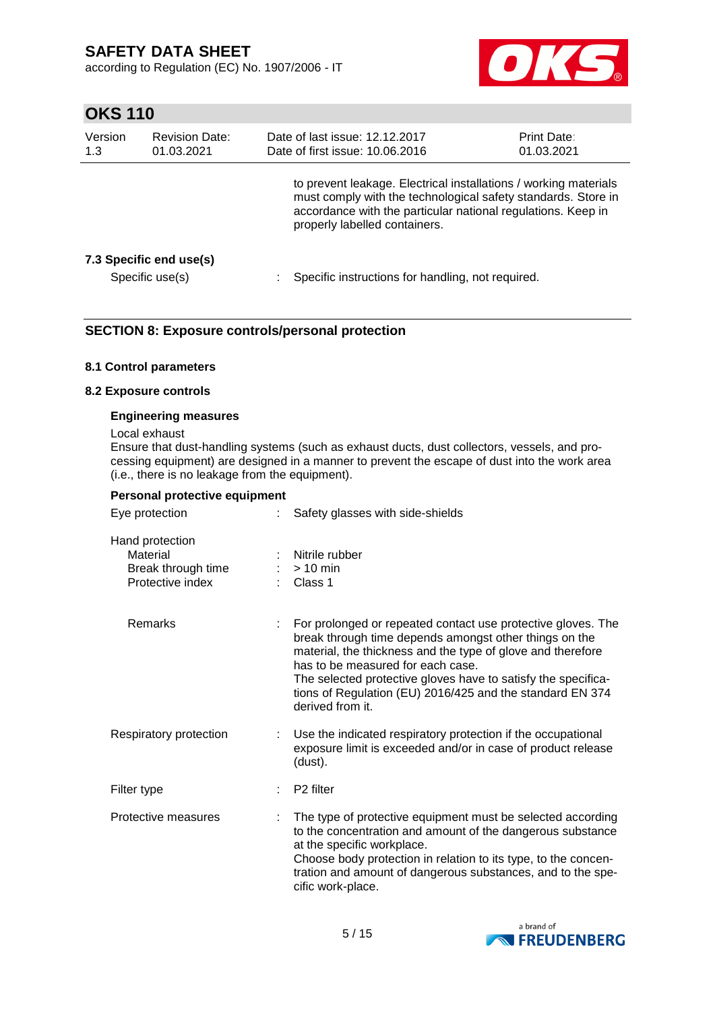according to Regulation (EC) No. 1907/2006 - IT



# **OKS 110**

| Version<br><b>Revision Date:</b><br>1.3<br>01.03.2021 |                                            | Date of last issue: 12.12.2017<br>Date of first issue: 10.06.2016                                                                                                                                                                  | <b>Print Date:</b><br>01.03.2021 |
|-------------------------------------------------------|--------------------------------------------|------------------------------------------------------------------------------------------------------------------------------------------------------------------------------------------------------------------------------------|----------------------------------|
|                                                       |                                            | to prevent leakage. Electrical installations / working materials<br>must comply with the technological safety standards. Store in<br>accordance with the particular national regulations. Keep in<br>properly labelled containers. |                                  |
|                                                       | 7.3 Specific end use(s)<br>Specific use(s) | Specific instructions for handling, not required.                                                                                                                                                                                  |                                  |

## **SECTION 8: Exposure controls/personal protection**

#### **8.1 Control parameters**

#### **8.2 Exposure controls**

#### **Engineering measures**

#### Local exhaust

Ensure that dust-handling systems (such as exhaust ducts, dust collectors, vessels, and processing equipment) are designed in a manner to prevent the escape of dust into the work area (i.e., there is no leakage from the equipment).

| Personal protective equipment                                         |                                                                                                                                                                                                                                                                                                                                                                              |
|-----------------------------------------------------------------------|------------------------------------------------------------------------------------------------------------------------------------------------------------------------------------------------------------------------------------------------------------------------------------------------------------------------------------------------------------------------------|
| Eye protection                                                        | Safety glasses with side-shields                                                                                                                                                                                                                                                                                                                                             |
| Hand protection<br>Material<br>Break through time<br>Protective index | Nitrile rubber<br>$>10$ min<br>Class 1                                                                                                                                                                                                                                                                                                                                       |
| Remarks                                                               | For prolonged or repeated contact use protective gloves. The<br>break through time depends amongst other things on the<br>material, the thickness and the type of glove and therefore<br>has to be measured for each case.<br>The selected protective gloves have to satisfy the specifica-<br>tions of Regulation (EU) 2016/425 and the standard EN 374<br>derived from it. |
| Respiratory protection                                                | Use the indicated respiratory protection if the occupational<br>exposure limit is exceeded and/or in case of product release<br>(dust).                                                                                                                                                                                                                                      |
| Filter type                                                           | P <sub>2</sub> filter                                                                                                                                                                                                                                                                                                                                                        |
| Protective measures                                                   | The type of protective equipment must be selected according<br>to the concentration and amount of the dangerous substance<br>at the specific workplace.<br>Choose body protection in relation to its type, to the concen-<br>tration and amount of dangerous substances, and to the spe-<br>cific work-place.                                                                |

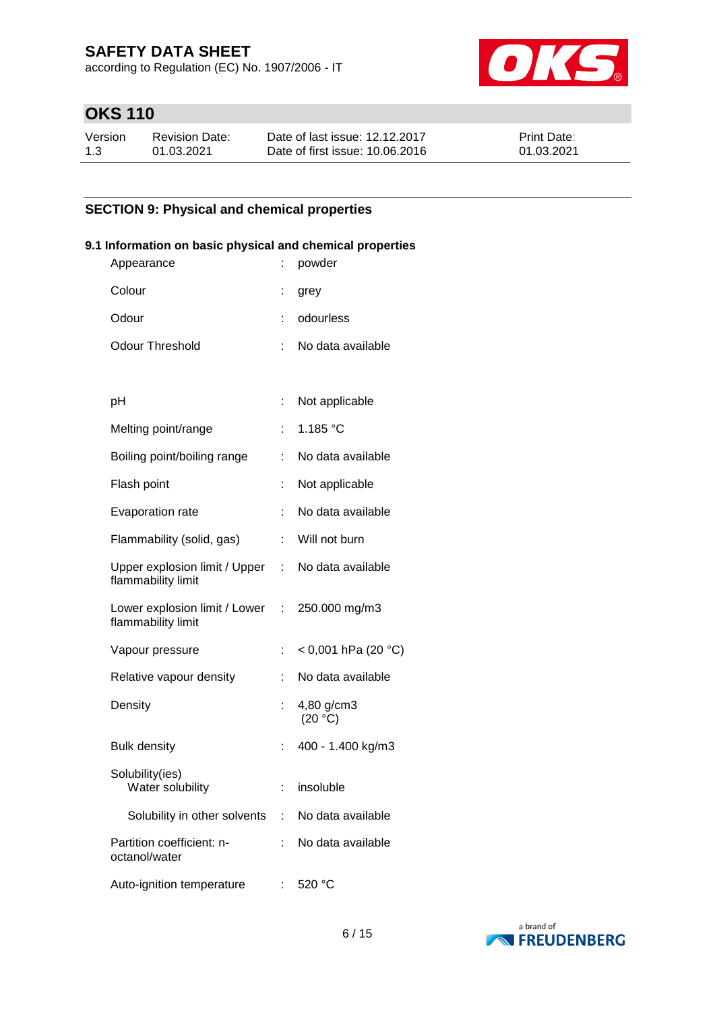according to Regulation (EC) No. 1907/2006 - IT



# **OKS 110**

| Version | Revision Date: | Date of last issue: 12.12.2017  | <b>Print Date:</b> |
|---------|----------------|---------------------------------|--------------------|
| 1.3     | 01.03.2021     | Date of first issue: 10.06.2016 | 01.03.2021         |

## **SECTION 9: Physical and chemical properties**

## **9.1 Information on basic physical and chemical properties**

| Appearance                                                              |    | powder                |
|-------------------------------------------------------------------------|----|-----------------------|
| Colour                                                                  |    | grey                  |
| Odour                                                                   |    | odourless             |
| <b>Odour Threshold</b>                                                  |    | No data available     |
|                                                                         |    |                       |
| рH                                                                      | ÷  | Not applicable        |
| Melting point/range                                                     |    | 1.185 $°C$            |
| Boiling point/boiling range                                             |    | No data available     |
| Flash point                                                             |    | Not applicable        |
| Evaporation rate                                                        | t  | No data available     |
| Flammability (solid, gas)                                               | t. | Will not burn         |
| Upper explosion limit / Upper : No data available<br>flammability limit |    |                       |
| Lower explosion limit / Lower :<br>flammability limit                   |    | 250.000 mg/m3         |
| Vapour pressure                                                         | ÷  | $<$ 0,001 hPa (20 °C) |
| Relative vapour density                                                 |    | No data available     |
| Density                                                                 |    | 4,80 g/cm3<br>(20 °C) |
| <b>Bulk density</b>                                                     |    | 400 - 1.400 kg/m3     |
| Solubility(ies)<br>Water solubility                                     |    | insoluble             |
| Solubility in other solvents :                                          |    | No data available     |
| Partition coefficient: n-<br>octanol/water                              |    | No data available     |
| Auto-ignition temperature                                               |    | 520 °C                |

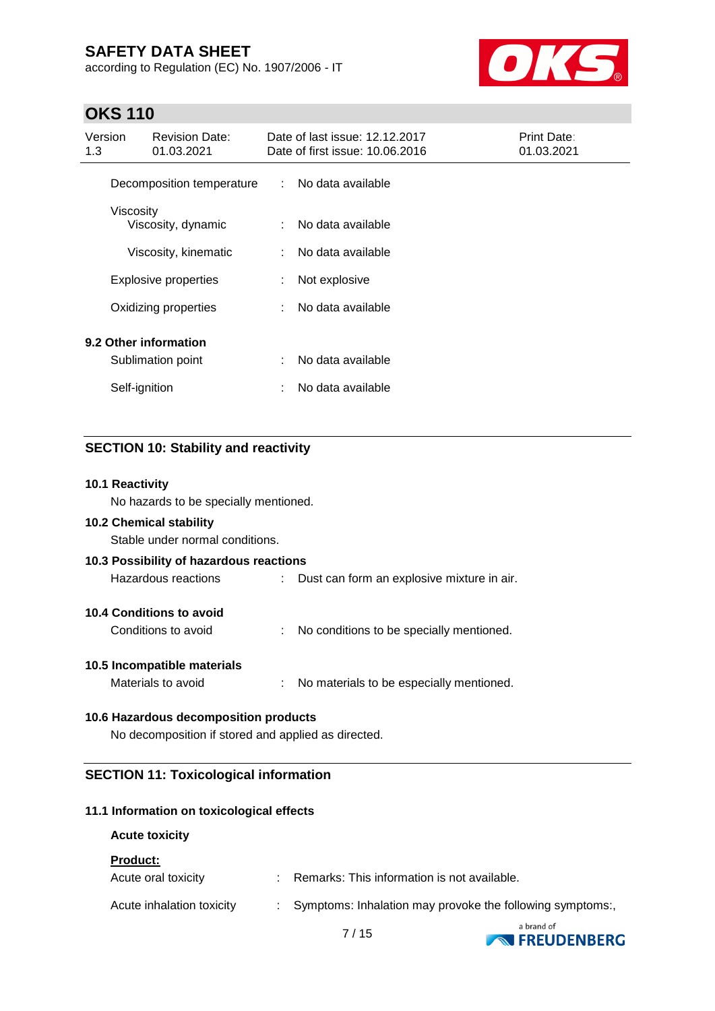according to Regulation (EC) No. 1907/2006 - IT



# **OKS 110**

| Version<br>1.3                             | <b>Revision Date:</b><br>01.03.2021 |   | Date of last issue: 12.12.2017<br>Date of first issue: 10.06.2016 | Print Date:<br>01.03.2021 |
|--------------------------------------------|-------------------------------------|---|-------------------------------------------------------------------|---------------------------|
|                                            | Decomposition temperature           | ÷ | No data available                                                 |                           |
|                                            | Viscosity<br>Viscosity, dynamic     | ÷ | No data available                                                 |                           |
|                                            | Viscosity, kinematic                | ÷ | No data available                                                 |                           |
|                                            | Explosive properties                | ÷ | Not explosive                                                     |                           |
|                                            | Oxidizing properties                | ÷ | No data available                                                 |                           |
| 9.2 Other information<br>Sublimation point |                                     | ÷ | No data available                                                 |                           |
|                                            | Self-ignition                       | ÷ | No data available                                                 |                           |

## **SECTION 10: Stability and reactivity**

### **10.1 Reactivity**

No hazards to be specially mentioned.

### **10.2 Chemical stability**

Stable under normal conditions.

| 10.3 Possibility of hazardous reactions |                                            |
|-----------------------------------------|--------------------------------------------|
| Hazardous reactions                     | Dust can form an explosive mixture in air. |
| 10.4 Conditions to avoid                |                                            |
| Conditions to avoid                     | No conditions to be specially mentioned.   |
| 10.5 Incompatible materials             |                                            |
| Materials to avoid                      | No materials to be especially mentioned.   |

#### **10.6 Hazardous decomposition products**

No decomposition if stored and applied as directed.

## **SECTION 11: Toxicological information**

#### **11.1 Information on toxicological effects**

#### **Acute toxicity**

**Product:**

| Acute oral toxicity       | Remarks: This information is not available.                |
|---------------------------|------------------------------------------------------------|
| Acute inhalation toxicity | : Symptoms: Inhalation may provoke the following symptoms: |
|                           | a brand of                                                 |

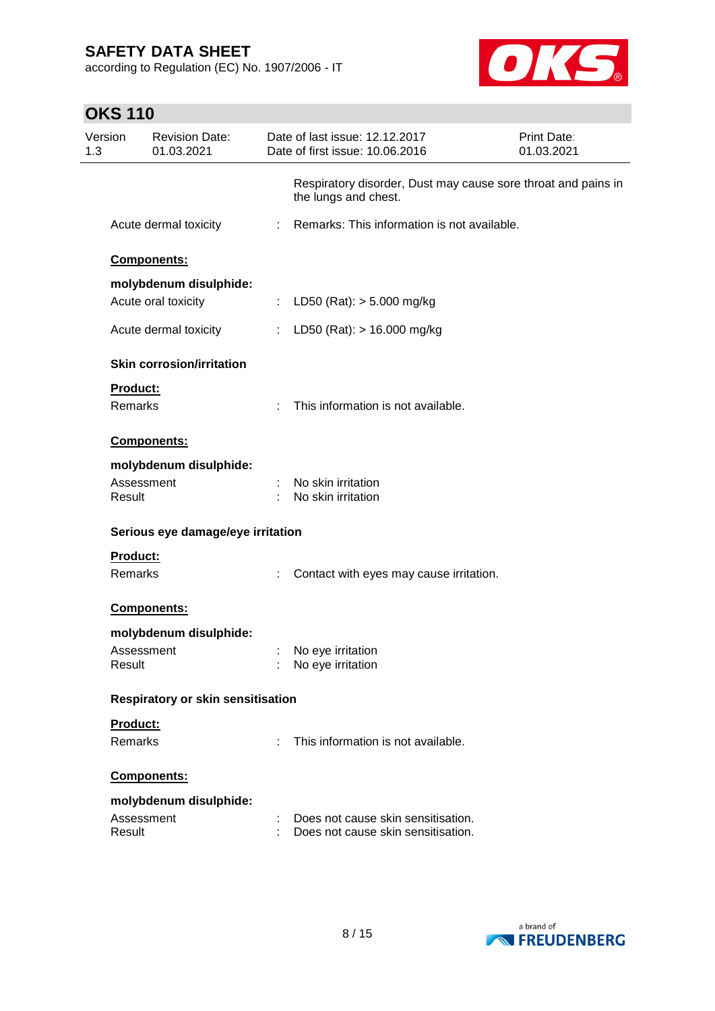**OKS 110**

Version 1.3

according to Regulation (EC) No. 1907/2006 - IT

Revision Date:



Print Date:

| 01.03.2021                               |   | Date of first issue: 10.06.2016                                                       | 01.03.2021 |
|------------------------------------------|---|---------------------------------------------------------------------------------------|------------|
|                                          |   | Respiratory disorder, Dust may cause sore throat and pains in<br>the lungs and chest. |            |
| Acute dermal toxicity                    |   | : Remarks: This information is not available.                                         |            |
| Components:                              |   |                                                                                       |            |
| molybdenum disulphide:                   |   |                                                                                       |            |
| Acute oral toxicity                      | ÷ | LD50 (Rat): $> 5.000$ mg/kg                                                           |            |
| Acute dermal toxicity                    |   | LD50 (Rat): $> 16.000$ mg/kg                                                          |            |
| <b>Skin corrosion/irritation</b>         |   |                                                                                       |            |
| <b>Product:</b>                          |   |                                                                                       |            |
| <b>Remarks</b>                           |   | This information is not available.                                                    |            |
| Components:                              |   |                                                                                       |            |
| molybdenum disulphide:                   |   |                                                                                       |            |
| Assessment<br>Result                     |   | No skin irritation<br>No skin irritation                                              |            |
| Serious eye damage/eye irritation        |   |                                                                                       |            |
| <b>Product:</b>                          |   |                                                                                       |            |
| Remarks                                  |   | Contact with eyes may cause irritation.                                               |            |
| Components:                              |   |                                                                                       |            |
| molybdenum disulphide:                   |   |                                                                                       |            |
| Assessment<br>Result                     |   | No eye irritation<br>No eye irritation                                                |            |
| <b>Respiratory or skin sensitisation</b> |   |                                                                                       |            |
| Product:                                 |   |                                                                                       |            |
| Remarks                                  | t | This information is not available.                                                    |            |
| <b>Components:</b>                       |   |                                                                                       |            |
| molybdenum disulphide:                   |   |                                                                                       |            |
| Assessment<br>Result                     |   | Does not cause skin sensitisation.<br>Does not cause skin sensitisation.              |            |

Date of last issue: 12.12.2017

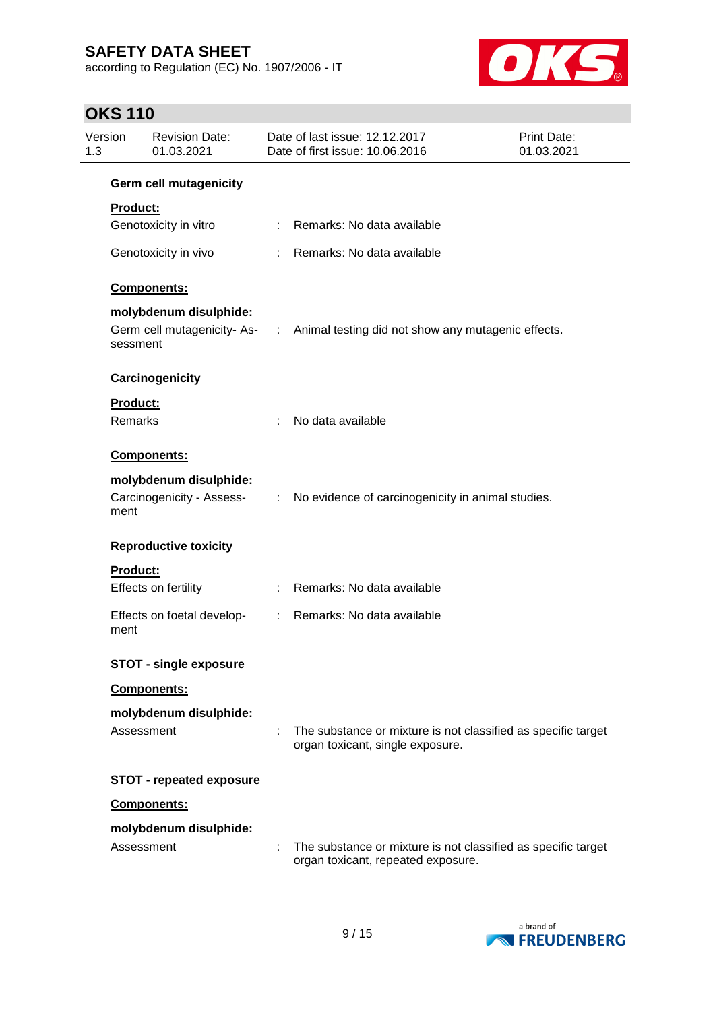according to Regulation (EC) No. 1907/2006 - IT



# **OKS 110**

| Version<br>1.3  | <b>Revision Date:</b><br>01.03.2021 | Date of last issue: 12.12.2017<br>Date of first issue: 10.06.2016                                   | <b>Print Date:</b><br>01.03.2021 |
|-----------------|-------------------------------------|-----------------------------------------------------------------------------------------------------|----------------------------------|
|                 | <b>Germ cell mutagenicity</b>       |                                                                                                     |                                  |
| <b>Product:</b> |                                     |                                                                                                     |                                  |
|                 | Genotoxicity in vitro               | : Remarks: No data available                                                                        |                                  |
|                 | Genotoxicity in vivo                | : Remarks: No data available                                                                        |                                  |
|                 | Components:                         |                                                                                                     |                                  |
|                 | molybdenum disulphide:              |                                                                                                     |                                  |
|                 | sessment                            | Germ cell mutagenicity- As- : Animal testing did not show any mutagenic effects.                    |                                  |
|                 | Carcinogenicity                     |                                                                                                     |                                  |
| <b>Product:</b> |                                     |                                                                                                     |                                  |
| Remarks         |                                     | No data available                                                                                   |                                  |
|                 | Components:                         |                                                                                                     |                                  |
|                 | molybdenum disulphide:              |                                                                                                     |                                  |
| ment            | Carcinogenicity - Assess-           | : No evidence of carcinogenicity in animal studies.                                                 |                                  |
|                 | <b>Reproductive toxicity</b>        |                                                                                                     |                                  |
| Product:        |                                     |                                                                                                     |                                  |
|                 | Effects on fertility                | : Remarks: No data available                                                                        |                                  |
| ment            | Effects on foetal develop-          | : Remarks: No data available                                                                        |                                  |
|                 | <b>STOT - single exposure</b>       |                                                                                                     |                                  |
|                 | Components:                         |                                                                                                     |                                  |
|                 | molybdenum disulphide:              |                                                                                                     |                                  |
|                 | Assessment                          | The substance or mixture is not classified as specific target<br>organ toxicant, single exposure.   |                                  |
|                 | <b>STOT - repeated exposure</b>     |                                                                                                     |                                  |
|                 | Components:                         |                                                                                                     |                                  |
|                 | molybdenum disulphide:              |                                                                                                     |                                  |
|                 | Assessment                          | The substance or mixture is not classified as specific target<br>organ toxicant, repeated exposure. |                                  |

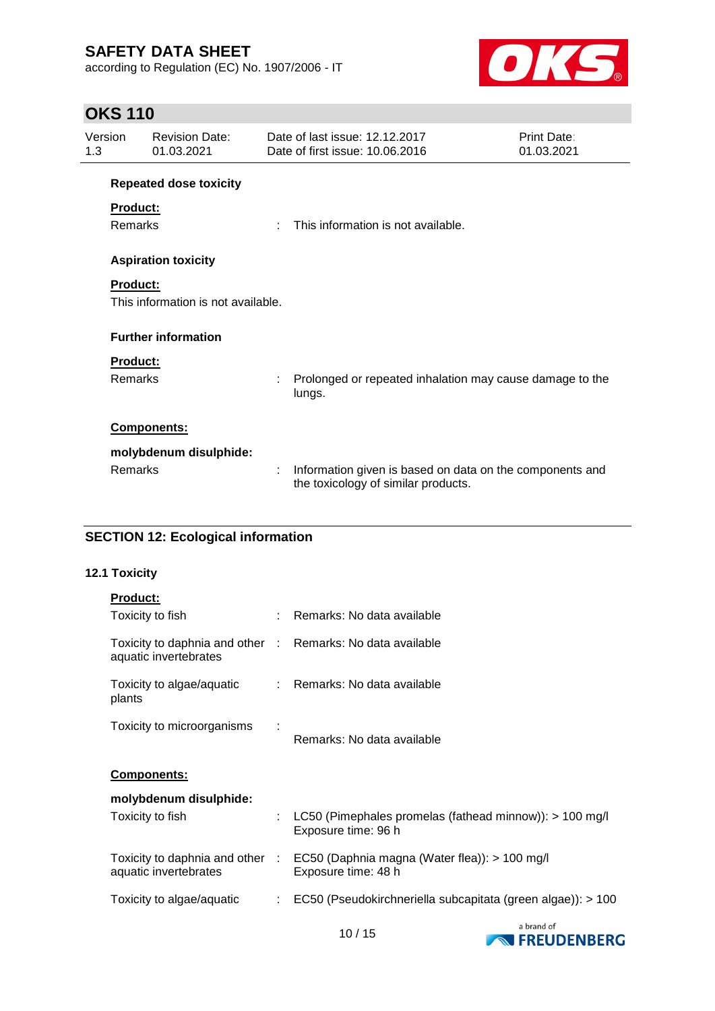according to Regulation (EC) No. 1907/2006 - IT



# **OKS 110**

| Version<br>1.3 |                 | <b>Revision Date:</b><br>01.03.2021 |    | Date of last issue: 12.12.2017<br>Date of first issue: 10.06.2016                               | Print Date:<br>01.03.2021 |
|----------------|-----------------|-------------------------------------|----|-------------------------------------------------------------------------------------------------|---------------------------|
|                |                 | <b>Repeated dose toxicity</b>       |    |                                                                                                 |                           |
|                | Product:        |                                     |    |                                                                                                 |                           |
|                | <b>Remarks</b>  |                                     | ٠. | This information is not available.                                                              |                           |
|                |                 | <b>Aspiration toxicity</b>          |    |                                                                                                 |                           |
|                | <b>Product:</b> | This information is not available.  |    |                                                                                                 |                           |
|                |                 | <b>Further information</b>          |    |                                                                                                 |                           |
|                | Product:        |                                     |    |                                                                                                 |                           |
|                | Remarks         |                                     |    | Prolonged or repeated inhalation may cause damage to the<br>lungs.                              |                           |
|                |                 | Components:                         |    |                                                                                                 |                           |
|                |                 | molybdenum disulphide:              |    |                                                                                                 |                           |
|                | <b>Remarks</b>  |                                     | t  | Information given is based on data on the components and<br>the toxicology of similar products. |                           |

## **SECTION 12: Ecological information**

## **12.1 Toxicity**

| <b>Product:</b>                                                                     |    |                                                                                    |
|-------------------------------------------------------------------------------------|----|------------------------------------------------------------------------------------|
| Toxicity to fish                                                                    |    | : Remarks: No data available                                                       |
| Toxicity to daphnia and other : Remarks: No data available<br>aquatic invertebrates |    |                                                                                    |
| Toxicity to algae/aquatic<br>plants                                                 |    | : Remarks: No data available                                                       |
| Toxicity to microorganisms                                                          |    | Remarks: No data available                                                         |
| <b>Components:</b>                                                                  |    |                                                                                    |
| molybdenum disulphide:                                                              |    |                                                                                    |
| Toxicity to fish                                                                    |    | : LC50 (Pimephales promelas (fathead minnow)): $> 100$ mg/l<br>Exposure time: 96 h |
| Toxicity to daphnia and other :<br>aquatic invertebrates                            |    | EC50 (Daphnia magna (Water flea)): > 100 mg/l<br>Exposure time: 48 h               |
| Toxicity to algae/aquatic                                                           | ÷. | EC50 (Pseudokirchneriella subcapitata (green algae)): > 100                        |

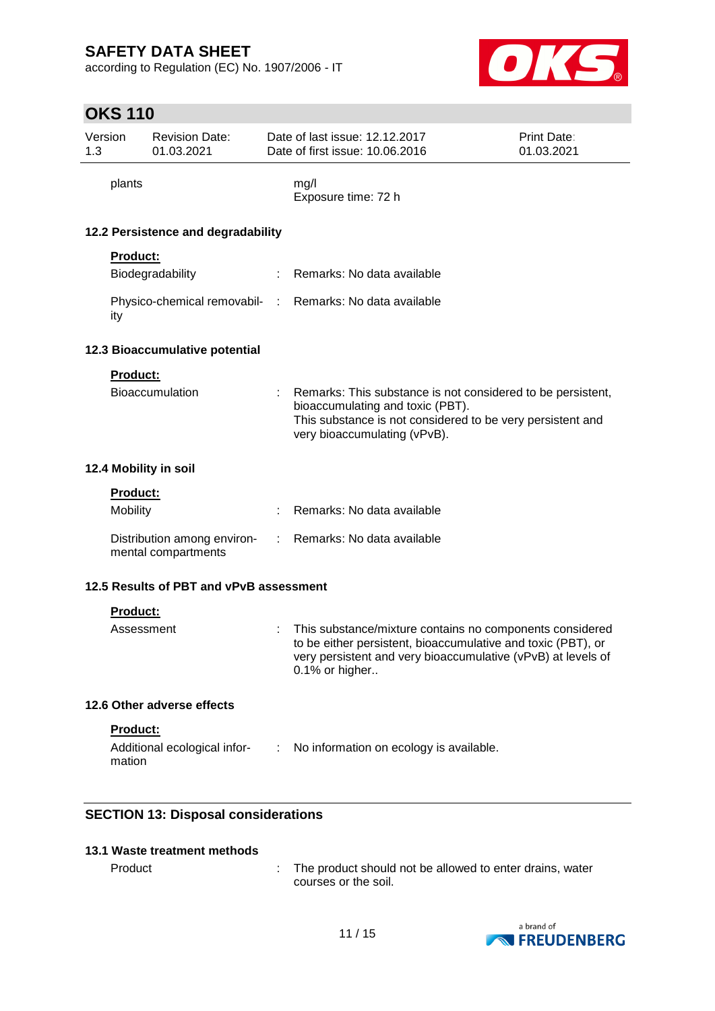according to Regulation (EC) No. 1907/2006 - IT



# **OKS 110**

|                | UNJ TIU            |                                                    |    |                                                                                                                                                                                                            |                           |
|----------------|--------------------|----------------------------------------------------|----|------------------------------------------------------------------------------------------------------------------------------------------------------------------------------------------------------------|---------------------------|
| Version<br>1.3 |                    | <b>Revision Date:</b><br>01.03.2021                |    | Date of last issue: 12.12.2017<br>Date of first issue: 10.06.2016                                                                                                                                          | Print Date:<br>01.03.2021 |
|                | plants             |                                                    |    | mg/l<br>Exposure time: 72 h                                                                                                                                                                                |                           |
|                |                    | 12.2 Persistence and degradability                 |    |                                                                                                                                                                                                            |                           |
|                | <b>Product:</b>    |                                                    |    |                                                                                                                                                                                                            |                           |
|                |                    | Biodegradability                                   |    | Remarks: No data available                                                                                                                                                                                 |                           |
|                | ity                |                                                    |    | Physico-chemical removabil- : Remarks: No data available                                                                                                                                                   |                           |
|                |                    | 12.3 Bioaccumulative potential                     |    |                                                                                                                                                                                                            |                           |
|                | <b>Product:</b>    |                                                    |    |                                                                                                                                                                                                            |                           |
|                |                    | <b>Bioaccumulation</b>                             |    | Remarks: This substance is not considered to be persistent,<br>bioaccumulating and toxic (PBT).<br>This substance is not considered to be very persistent and<br>very bioaccumulating (vPvB).              |                           |
|                |                    | 12.4 Mobility in soil                              |    |                                                                                                                                                                                                            |                           |
|                | Product:           |                                                    |    |                                                                                                                                                                                                            |                           |
|                | Mobility           |                                                    |    | Remarks: No data available                                                                                                                                                                                 |                           |
|                |                    | Distribution among environ-<br>mental compartments | ÷. | Remarks: No data available                                                                                                                                                                                 |                           |
|                |                    | 12.5 Results of PBT and vPvB assessment            |    |                                                                                                                                                                                                            |                           |
|                | Product:           |                                                    |    |                                                                                                                                                                                                            |                           |
|                | Assessment         |                                                    |    | This substance/mixture contains no components considered<br>to be either persistent, bioaccumulative and toxic (PBT), or<br>very persistent and very bioaccumulative (vPvB) at levels of<br>0.1% or higher |                           |
|                |                    | 12.6 Other adverse effects                         |    |                                                                                                                                                                                                            |                           |
|                | Product:<br>mation | Additional ecological infor-                       | ÷  | No information on ecology is available.                                                                                                                                                                    |                           |

## **SECTION 13: Disposal considerations**

## **13.1 Waste treatment methods**

Product : The product should not be allowed to enter drains, water courses or the soil.

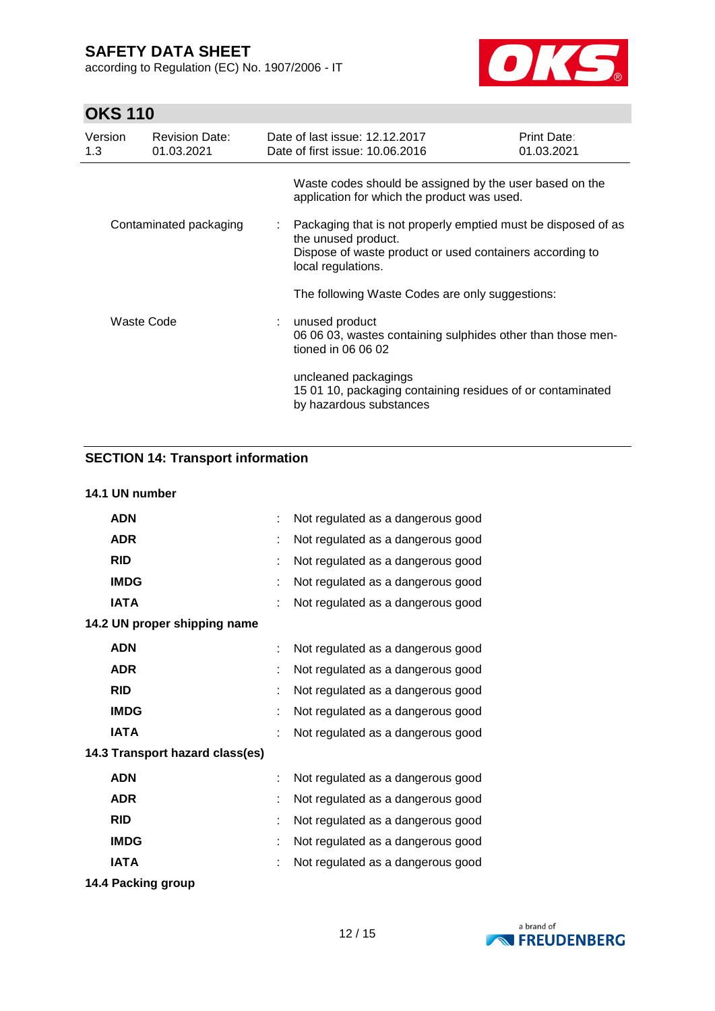according to Regulation (EC) No. 1907/2006 - IT



# **OKS 110**

| Version<br>1.3         | <b>Revision Date:</b><br>01.03.2021 | Date of last issue: 12.12.2017<br>Date of first issue: 10.06.2016                                                                                                        | Print Date:<br>01.03.2021 |  |
|------------------------|-------------------------------------|--------------------------------------------------------------------------------------------------------------------------------------------------------------------------|---------------------------|--|
|                        |                                     | Waste codes should be assigned by the user based on the<br>application for which the product was used.                                                                   |                           |  |
| Contaminated packaging |                                     | : Packaging that is not properly emptied must be disposed of as<br>the unused product.<br>Dispose of waste product or used containers according to<br>local regulations. |                           |  |
|                        |                                     | The following Waste Codes are only suggestions:                                                                                                                          |                           |  |
|                        | Waste Code                          | : unused product<br>06 06 03, wastes containing sulphides other than those men-<br>tioned in 06 06 02                                                                    |                           |  |
|                        |                                     | uncleaned packagings<br>15 01 10, packaging containing residues of or contaminated<br>by hazardous substances                                                            |                           |  |

## **SECTION 14: Transport information**

## **14.1 UN number**

| <b>ADN</b>                      |   | Not regulated as a dangerous good |
|---------------------------------|---|-----------------------------------|
| <b>ADR</b>                      |   | Not regulated as a dangerous good |
| <b>RID</b>                      |   | Not regulated as a dangerous good |
| <b>IMDG</b>                     |   | Not regulated as a dangerous good |
| <b>IATA</b>                     |   | Not regulated as a dangerous good |
| 14.2 UN proper shipping name    |   |                                   |
| <b>ADN</b>                      | t | Not regulated as a dangerous good |
| <b>ADR</b>                      |   | Not regulated as a dangerous good |
| <b>RID</b>                      | t | Not regulated as a dangerous good |
| <b>IMDG</b>                     | t | Not regulated as a dangerous good |
| <b>IATA</b>                     | t | Not regulated as a dangerous good |
| 14.3 Transport hazard class(es) |   |                                   |
| <b>ADN</b>                      | t | Not regulated as a dangerous good |
| <b>ADR</b>                      | ۰ | Not regulated as a dangerous good |
| <b>RID</b>                      | t | Not regulated as a dangerous good |
| <b>IMDG</b>                     |   | Not regulated as a dangerous good |
| <b>IATA</b>                     |   | Not regulated as a dangerous good |
| 14.4 Packing group              |   |                                   |

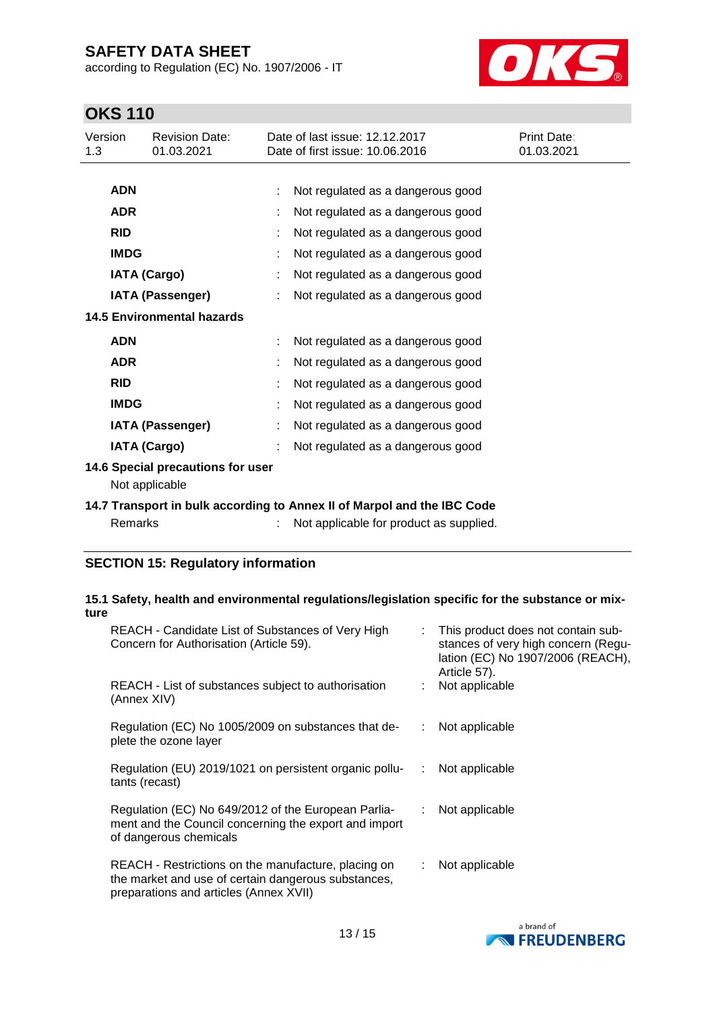according to Regulation (EC) No. 1907/2006 - IT



# **OKS 110**

| Version<br>1.3                                      |             | <b>Revision Date:</b><br>01.03.2021 | Date of last issue: 12.12.2017<br>Date of first issue: 10.06.2016 | Print Date:<br>01.03.2021 |
|-----------------------------------------------------|-------------|-------------------------------------|-------------------------------------------------------------------|---------------------------|
|                                                     | <b>ADN</b>  |                                     | Not regulated as a dangerous good                                 |                           |
|                                                     | <b>ADR</b>  |                                     | Not regulated as a dangerous good                                 |                           |
|                                                     | <b>RID</b>  |                                     | Not regulated as a dangerous good                                 |                           |
|                                                     | <b>IMDG</b> |                                     | Not regulated as a dangerous good                                 |                           |
|                                                     |             | <b>IATA (Cargo)</b>                 | Not regulated as a dangerous good                                 |                           |
|                                                     |             | <b>IATA (Passenger)</b>             | Not regulated as a dangerous good                                 |                           |
|                                                     |             | <b>14.5 Environmental hazards</b>   |                                                                   |                           |
|                                                     | <b>ADN</b>  |                                     | Not regulated as a dangerous good                                 |                           |
|                                                     | <b>ADR</b>  |                                     | Not regulated as a dangerous good                                 |                           |
|                                                     | <b>RID</b>  |                                     | Not regulated as a dangerous good                                 |                           |
|                                                     | <b>IMDG</b> |                                     | Not regulated as a dangerous good                                 |                           |
|                                                     |             | <b>IATA (Passenger)</b>             | Not regulated as a dangerous good                                 |                           |
|                                                     |             | <b>IATA (Cargo)</b>                 | Not regulated as a dangerous good                                 |                           |
| 14.6 Special precautions for user<br>Not applicable |             |                                     |                                                                   |                           |

**14.7 Transport in bulk according to Annex II of Marpol and the IBC Code**

| Remarks |  | Not applicable for product as supplied. |
|---------|--|-----------------------------------------|
|---------|--|-----------------------------------------|

## **SECTION 15: Regulatory information**

#### **15.1 Safety, health and environmental regulations/legislation specific for the substance or mixture**

| REACH - Candidate List of Substances of Very High<br>Concern for Authorisation (Article 59).                                                         |      | : This product does not contain sub-<br>stances of very high concern (Regu-<br>lation (EC) No 1907/2006 (REACH),<br>Article 57). |
|------------------------------------------------------------------------------------------------------------------------------------------------------|------|----------------------------------------------------------------------------------------------------------------------------------|
| REACH - List of substances subject to authorisation<br>(Annex XIV)                                                                                   |      | Not applicable                                                                                                                   |
| Regulation (EC) No 1005/2009 on substances that de-<br>plete the ozone layer                                                                         | t in | Not applicable                                                                                                                   |
| Regulation (EU) 2019/1021 on persistent organic pollu-<br>tants (recast)                                                                             | ÷    | Not applicable                                                                                                                   |
| Regulation (EC) No 649/2012 of the European Parlia-<br>ment and the Council concerning the export and import<br>of dangerous chemicals               | t.   | Not applicable                                                                                                                   |
| REACH - Restrictions on the manufacture, placing on<br>the market and use of certain dangerous substances,<br>preparations and articles (Annex XVII) | ÷.   | Not applicable                                                                                                                   |

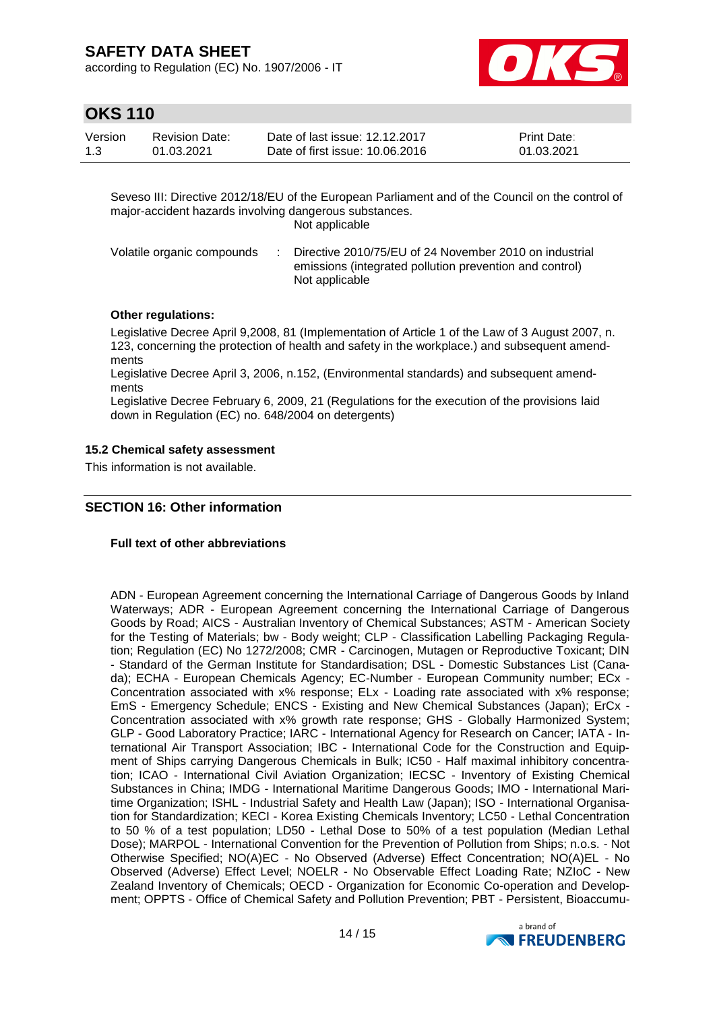according to Regulation (EC) No. 1907/2006 - IT



# **OKS 110**

| Version | <b>Revision Date:</b> | Date of last issue: 12.12.2017  | <b>Print Date:</b> |
|---------|-----------------------|---------------------------------|--------------------|
| 1.3     | 01.03.2021            | Date of first issue: 10.06.2016 | 01.03.2021         |

Seveso III: Directive 2012/18/EU of the European Parliament and of the Council on the control of major-accident hazards involving dangerous substances.

Not applicable

| emissions (integrated pollution prevention and control)<br>Not applicable | Volatile organic compounds |  | Directive 2010/75/EU of 24 November 2010 on industrial |
|---------------------------------------------------------------------------|----------------------------|--|--------------------------------------------------------|
|---------------------------------------------------------------------------|----------------------------|--|--------------------------------------------------------|

## **Other regulations:**

Legislative Decree April 9,2008, 81 (Implementation of Article 1 of the Law of 3 August 2007, n. 123, concerning the protection of health and safety in the workplace.) and subsequent amendments

Legislative Decree April 3, 2006, n.152, (Environmental standards) and subsequent amendments

Legislative Decree February 6, 2009, 21 (Regulations for the execution of the provisions laid down in Regulation (EC) no. 648/2004 on detergents)

## **15.2 Chemical safety assessment**

This information is not available.

## **SECTION 16: Other information**

### **Full text of other abbreviations**

ADN - European Agreement concerning the International Carriage of Dangerous Goods by Inland Waterways; ADR - European Agreement concerning the International Carriage of Dangerous Goods by Road; AICS - Australian Inventory of Chemical Substances; ASTM - American Society for the Testing of Materials; bw - Body weight; CLP - Classification Labelling Packaging Regulation; Regulation (EC) No 1272/2008; CMR - Carcinogen, Mutagen or Reproductive Toxicant; DIN - Standard of the German Institute for Standardisation; DSL - Domestic Substances List (Canada); ECHA - European Chemicals Agency; EC-Number - European Community number; ECx - Concentration associated with x% response; ELx - Loading rate associated with x% response; EmS - Emergency Schedule; ENCS - Existing and New Chemical Substances (Japan); ErCx - Concentration associated with x% growth rate response; GHS - Globally Harmonized System; GLP - Good Laboratory Practice; IARC - International Agency for Research on Cancer; IATA - International Air Transport Association; IBC - International Code for the Construction and Equipment of Ships carrying Dangerous Chemicals in Bulk; IC50 - Half maximal inhibitory concentration; ICAO - International Civil Aviation Organization; IECSC - Inventory of Existing Chemical Substances in China; IMDG - International Maritime Dangerous Goods; IMO - International Maritime Organization; ISHL - Industrial Safety and Health Law (Japan); ISO - International Organisation for Standardization; KECI - Korea Existing Chemicals Inventory; LC50 - Lethal Concentration to 50 % of a test population; LD50 - Lethal Dose to 50% of a test population (Median Lethal Dose); MARPOL - International Convention for the Prevention of Pollution from Ships; n.o.s. - Not Otherwise Specified; NO(A)EC - No Observed (Adverse) Effect Concentration; NO(A)EL - No Observed (Adverse) Effect Level; NOELR - No Observable Effect Loading Rate; NZIoC - New Zealand Inventory of Chemicals; OECD - Organization for Economic Co-operation and Development; OPPTS - Office of Chemical Safety and Pollution Prevention; PBT - Persistent, Bioaccumu-